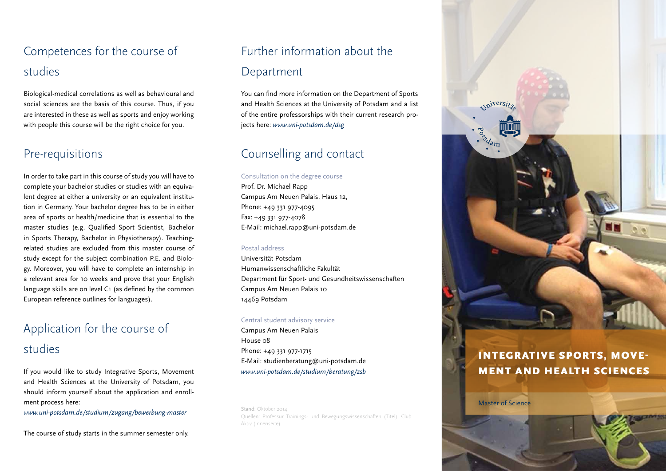# Competences for the course of studies

Biological-medical correlations as well as behavioural and social sciences are the basis of this course. Thus, if you are interested in these as well as sports and enjoy working with people this course will be the right choice for you.

### Pre-requisitions

In order to take part in this course of study you will have to complete your bachelor studies or studies with an equivalent degree at either a university or an equivalent institution in Germany. Your bachelor degree has to be in either area of sports or health/medicine that is essential to the master studies (e.g. Qualified Sport Scientist, Bachelor in Sports Therapy, Bachelor in Physiotherapy). Teachingrelated studies are excluded from this master course of study except for the subject combination P.E. and Biology. Moreover, you will have to complete an internship in a relevant area for 10 weeks and prove that your English language skills are on level C1 (as defined by the common European reference outlines for languages).

# Application for the course of

## studies

If you would like to study Integrative Sports, Movement and Health Sciences at the University of Potsdam, you should inform yourself about the application and enrollment process here:

*www.uni-potsdam.de/studium/zugang/bewerbung-master* 

The course of study starts in the summer semester only.

# Further information about the Department

You can find more information on the Department of Sports and Health Sciences at the University of Potsdam and a list of the entire professorships with their current research projects here: *www.uni-potsdam.de/dsg*

## Counselling and contact

#### Consultation on the degree course

Prof. Dr. Michael Rapp Campus Am Neuen Palais, Haus 12, Phone: +49 331 977-4095 Fax: +49 331 977-4078 E-Mail: michael.rapp@uni-potsdam.de

#### Postal address

Universität Potsdam Humanwissenschaftliche Fakultät Department für Sport- und Gesundheitswissenschaften Campus Am Neuen Palais 10 14469 Potsdam

#### Central student advisory service

Campus Am Neuen Palais House 08 Phone: +49 331 977-1715 E-Mail: studienberatung@uni-potsdam.de *www.uni-potsdam.de/studium/beratung/zsb*

Stand: Oktober 2014 Quellen: Professur Trainings- und Bewegungswissenschaften (Titel), Club Aktiv (Innenseite)



## Integrative Sports, Movement and Health Sciences

Master of Science